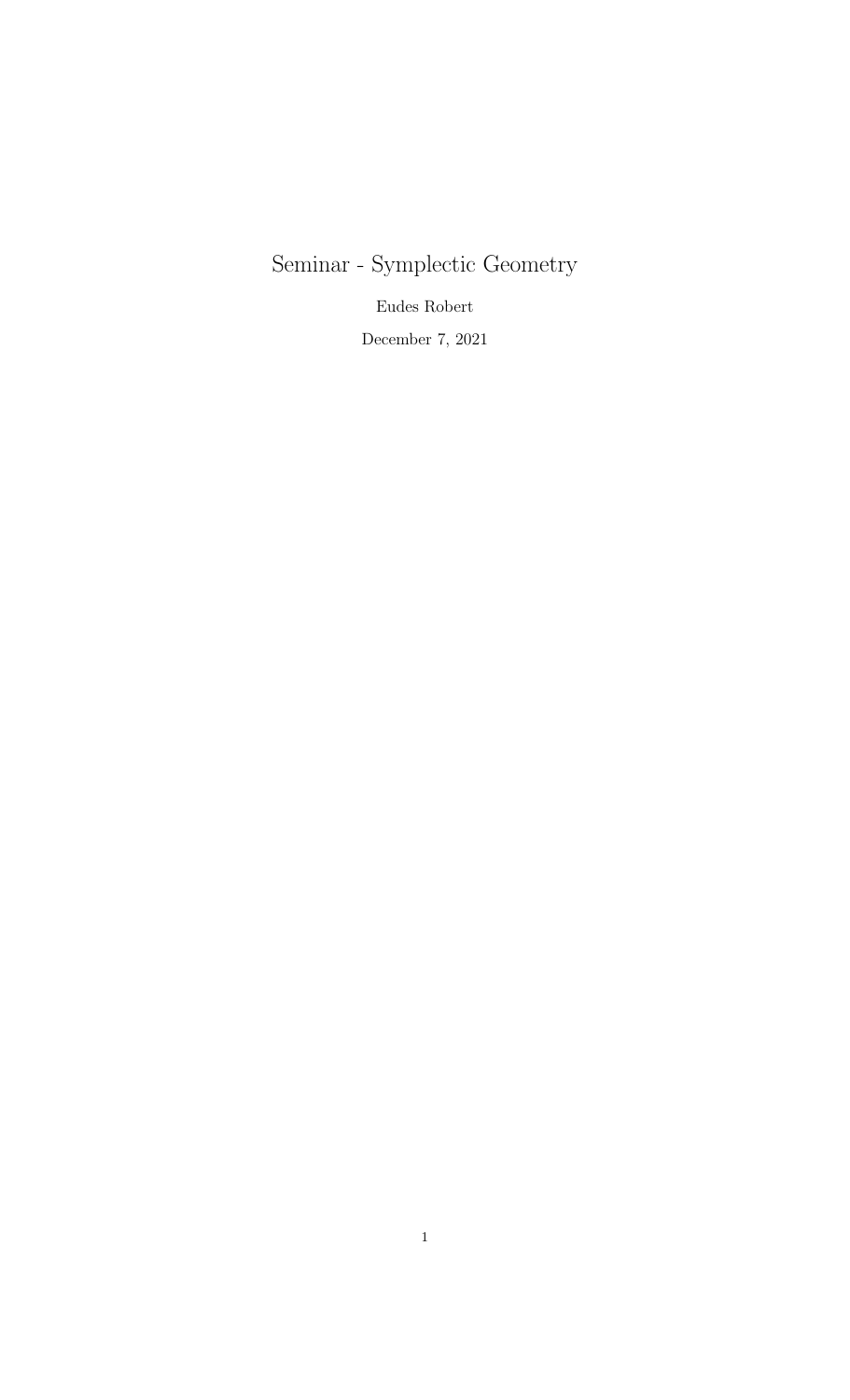Seminar - Symplectic Geometry

Eudes Robert

December 7, 2021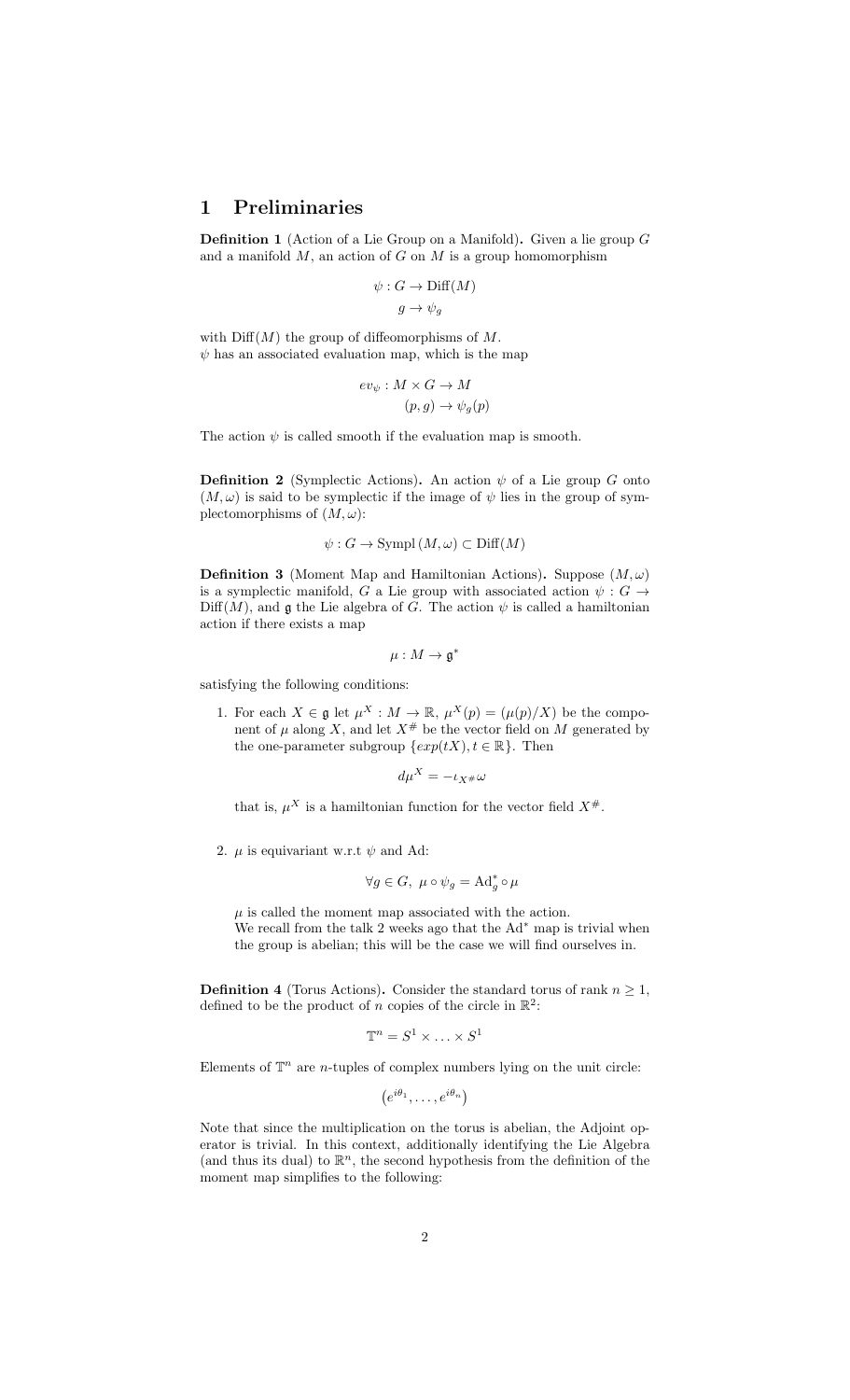## 1 Preliminaries

Definition 1 (Action of a Lie Group on a Manifold). Given a lie group G and a manifold  $M$ , an action of  $G$  on  $M$  is a group homomorphism

$$
\psi: G \to \text{Diff}(M)
$$

$$
g \to \psi_g
$$

with  $\text{Diff}(M)$  the group of diffeomorphisms of M.  $\psi$  has an associated evaluation map, which is the map

$$
ev_{\psi}: M \times G \to M
$$

$$
(p, g) \to \psi_{g}(p)
$$

The action  $\psi$  is called smooth if the evaluation map is smooth.

**Definition 2** (Symplectic Actions). An action  $\psi$  of a Lie group G onto  $(M, \omega)$  is said to be symplectic if the image of  $\psi$  lies in the group of symplectomorphisms of  $(M, \omega)$ :

$$
\psi: G \to \text{Sympl}(M, \omega) \subset \text{Diff}(M)
$$

**Definition 3** (Moment Map and Hamiltonian Actions). Suppose  $(M, \omega)$ is a symplectic manifold, G a Lie group with associated action  $\psi : G \rightarrow$  $\text{Diff}(M)$ , and g the Lie algebra of G. The action  $\psi$  is called a hamiltonian action if there exists a map

$$
\mu:M\to\mathfrak{g}^*
$$

satisfying the following conditions:

1. For each  $X \in \mathfrak{g}$  let  $\mu^X : M \to \mathbb{R}, \mu^X(p) = (\mu(p)/X)$  be the component of  $\mu$  along X, and let  $X^{\#}$  be the vector field on M generated by the one-parameter subgroup  $\{exp(tX), t \in \mathbb{R}\}.$  Then

$$
d\mu^X = -\iota_{X^\#}\omega
$$

that is,  $\mu^X$  is a hamiltonian function for the vector field  $X^{\#}$ .

2.  $\mu$  is equivariant w.r.t  $\psi$  and Ad:

$$
\forall g \in G, \ \mu \circ \psi_g = \mathrm{Ad}_g^* \circ \mu
$$

 $\mu$  is called the moment map associated with the action. We recall from the talk 2 weeks ago that the  $Ad^*$  map is trivial when the group is abelian; this will be the case we will find ourselves in.

**Definition 4** (Torus Actions). Consider the standard torus of rank  $n \geq 1$ , defined to be the product of *n* copies of the circle in  $\mathbb{R}^2$ :

$$
\mathbb{T}^n = S^1 \times \ldots \times S^1
$$

Elements of  $\mathbb{T}^n$  are *n*-tuples of complex numbers lying on the unit circle:

$$
(e^{i\theta_1},\ldots,e^{i\theta_n})
$$

Note that since the multiplication on the torus is abelian, the Adjoint operator is trivial. In this context, additionally identifying the Lie Algebra (and thus its dual) to  $\mathbb{R}^n$ , the second hypothesis from the definition of the moment map simplifies to the following: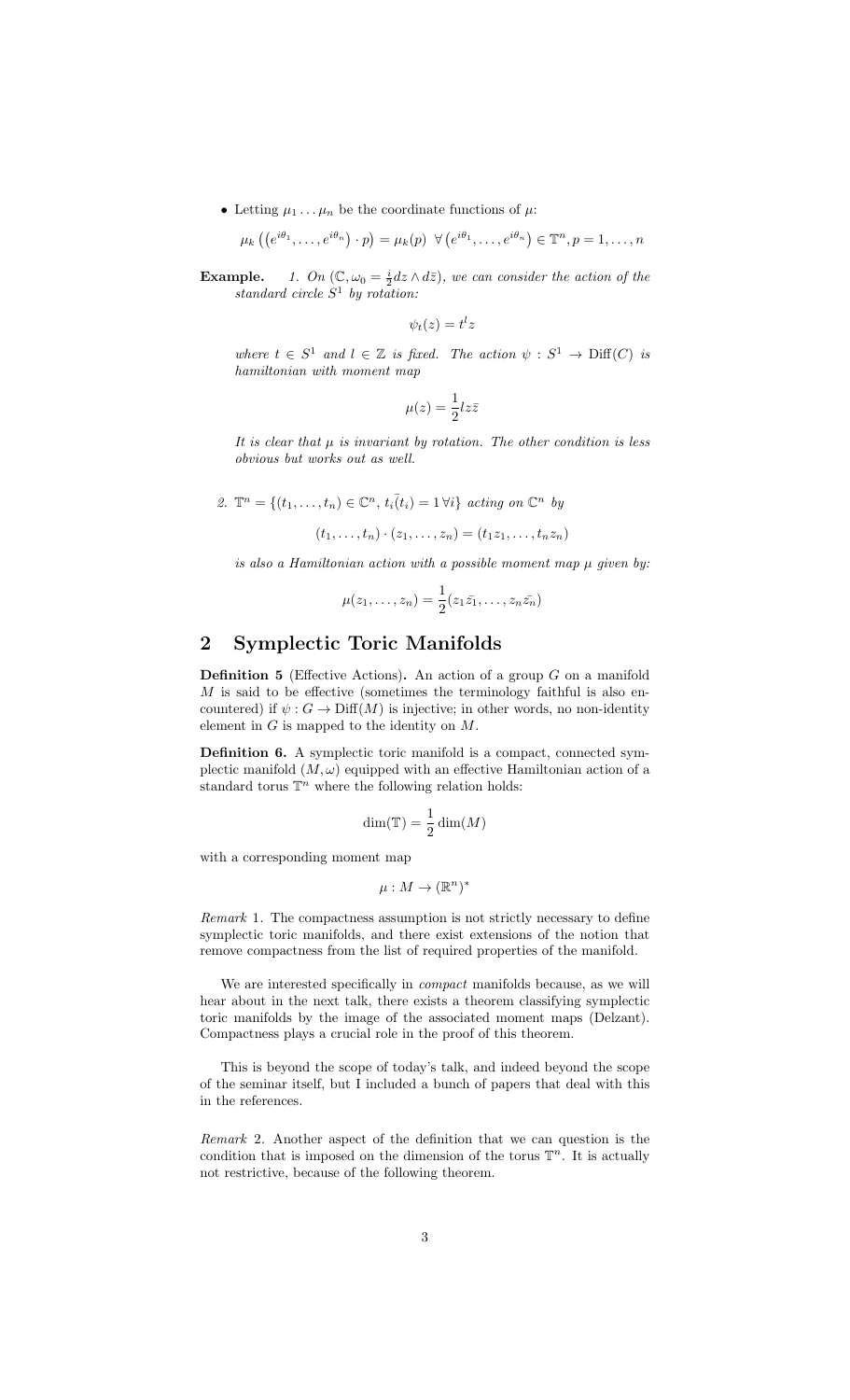• Letting  $\mu_1 \ldots \mu_n$  be the coordinate functions of  $\mu$ .

$$
\mu_k\left(\left(e^{i\theta_1},\ldots,e^{i\theta_n}\right)\cdot p\right)=\mu_k(p)\ \ \forall\left(e^{i\theta_1},\ldots,e^{i\theta_n}\right)\in\mathbb{T}^n,p=1,\ldots,n
$$

**Example.** 1. On  $(\mathbb{C}, \omega_0 = \frac{i}{2} dz \wedge d\overline{z})$ , we can consider the action of the standard circle  $S^1$  by rotation:

$$
\psi_t(z) = t^l z
$$

where  $t \in S^1$  and  $l \in \mathbb{Z}$  is fixed. The action  $\psi : S^1 \to \text{Diff}(C)$  is hamiltonian with moment map

$$
\mu(z) = \frac{1}{2}l z \bar{z}
$$

It is clear that  $\mu$  is invariant by rotation. The other condition is less obvious but works out as well.

2. 
$$
\mathbb{T}^n = \{(t_1, \ldots, t_n) \in \mathbb{C}^n, t_i(t_i) = 1 \,\forall i\} \text{ acting on } \mathbb{C}^n \text{ by}
$$

$$
(t_1, \ldots, t_n) \cdot (z_1, \ldots, z_n) = (t_1 z_1, \ldots, t_n z_n)
$$

is also a Hamiltonian action with a possible moment map  $\mu$  given by:

$$
\mu(z_1,\ldots,z_n)=\frac{1}{2}(z_1\bar{z_1},\ldots,z_n\bar{z_n})
$$

## 2 Symplectic Toric Manifolds

**Definition 5** (Effective Actions). An action of a group  $G$  on a manifold  $M$  is said to be effective (sometimes the terminology faithful is also encountered) if  $\psi : G \to \text{Diff}(M)$  is injective; in other words, no non-identity element in  $G$  is mapped to the identity on  $M$ .

Definition 6. A symplectic toric manifold is a compact, connected symplectic manifold  $(M, \omega)$  equipped with an effective Hamiltonian action of a standard torus  $\mathbb{T}^n$  where the following relation holds:

$$
\dim(\mathbb{T}) = \frac{1}{2}\dim(M)
$$

with a corresponding moment map

$$
\mu: M \to (\mathbb{R}^n)^*
$$

Remark 1. The compactness assumption is not strictly necessary to define symplectic toric manifolds, and there exist extensions of the notion that remove compactness from the list of required properties of the manifold.

We are interested specifically in *compact* manifolds because, as we will hear about in the next talk, there exists a theorem classifying symplectic toric manifolds by the image of the associated moment maps (Delzant). Compactness plays a crucial role in the proof of this theorem.

This is beyond the scope of today's talk, and indeed beyond the scope of the seminar itself, but I included a bunch of papers that deal with this in the references.

Remark 2. Another aspect of the definition that we can question is the condition that is imposed on the dimension of the torus  $\mathbb{T}^n$ . It is actually not restrictive, because of the following theorem.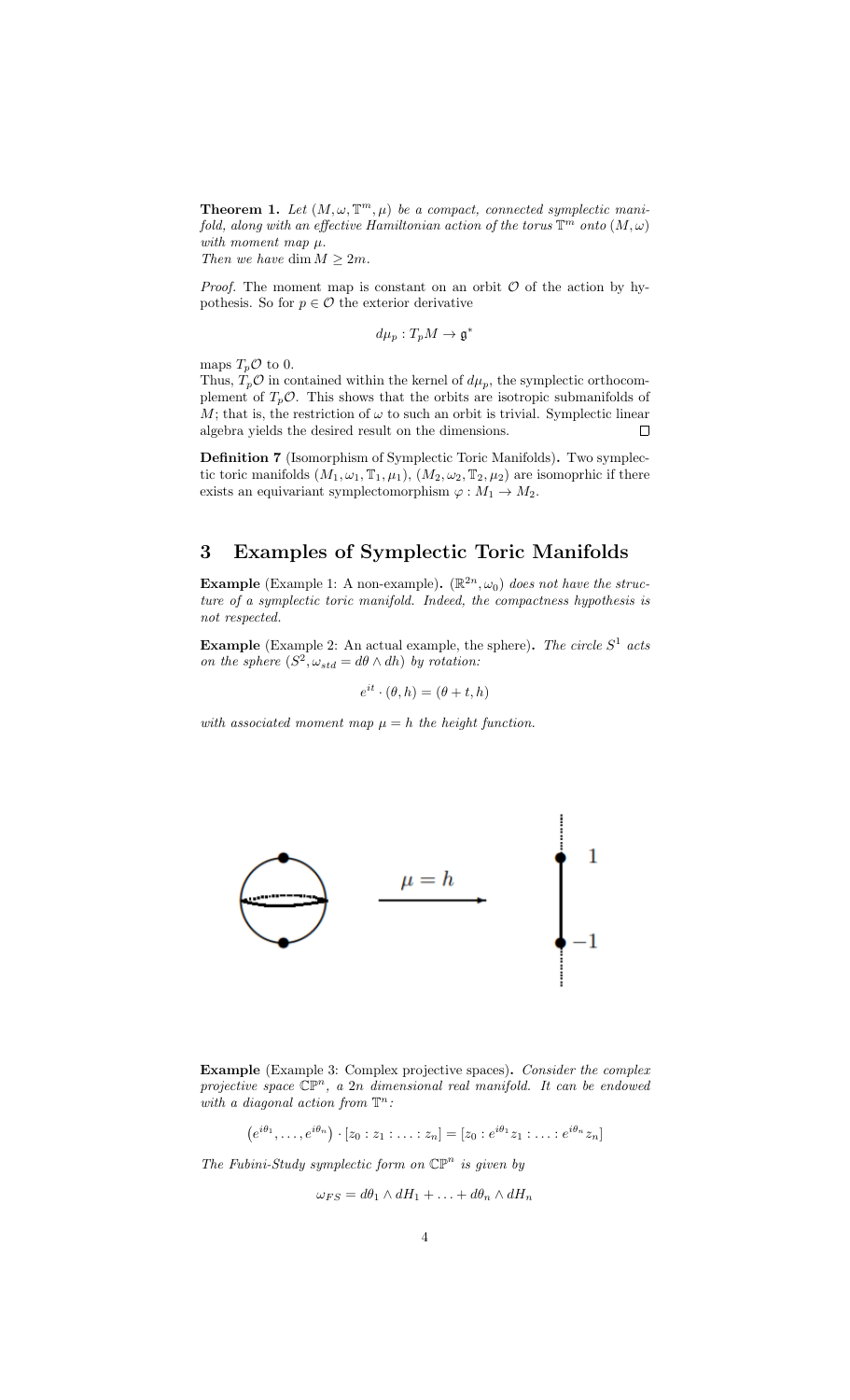**Theorem 1.** Let  $(M, \omega, \mathbb{T}^m, \mu)$  be a compact, connected symplectic manifold, along with an effective Hamiltonian action of the torus  $\mathbb{T}^m$  onto  $(M,\omega)$ with moment map  $\mu$ . Then we have dim  $M \geq 2m$ .

*Proof.* The moment map is constant on an orbit  $O$  of the action by hypothesis. So for  $p \in \mathcal{O}$  the exterior derivative

$$
d\mu_p:T_pM\to\mathfrak{g}^*
$$

maps  $T_p \mathcal{O}$  to 0.

Thus,  $T_p \mathcal{O}$  in contained within the kernel of  $d\mu_p$ , the symplectic orthocomplement of  $T_p \mathcal{O}$ . This shows that the orbits are isotropic submanifolds of M; that is, the restriction of  $\omega$  to such an orbit is trivial. Symplectic linear algebra yields the desired result on the dimensions.  $\Box$ 

Definition 7 (Isomorphism of Symplectic Toric Manifolds). Two symplectic toric manifolds  $(M_1, \omega_1, \mathbb{T}_1, \mu_1), (M_2, \omega_2, \mathbb{T}_2, \mu_2)$  are isomoprhic if there exists an equivariant symplectomorphism  $\varphi : M_1 \to M_2$ .

## 3 Examples of Symplectic Toric Manifolds

**Example** (Example 1: A non-example).  $(\mathbb{R}^{2n}, \omega_0)$  does not have the structure of a symplectic toric manifold. Indeed, the compactness hypothesis is not respected.

**Example** (Example 2: An actual example, the sphere). The circle  $S<sup>1</sup>$  acts on the sphere  $(S^2, \omega_{std} = d\theta \wedge dh)$  by rotation:

$$
e^{it} \cdot (\theta, h) = (\theta + t, h)
$$

with associated moment map  $\mu = h$  the height function.



Example (Example 3: Complex projective spaces). Consider the complex projective space  $\mathbb{CP}^n$ , a 2n dimensional real manifold. It can be endowed with a diagonal action from  $\mathbb{T}^n$ :

 $(e^{i\theta_1}, \ldots, e^{i\theta_n}) \cdot [z_0 : z_1 : \ldots : z_n] = [z_0 : e^{i\theta_1} z_1 : \ldots : e^{i\theta_n} z_n]$ 

The Fubini-Study symplectic form on  $\mathbb{CP}^n$  is given by

$$
\omega_{FS} = d\theta_1 \wedge dH_1 + \ldots + d\theta_n \wedge dH_n
$$